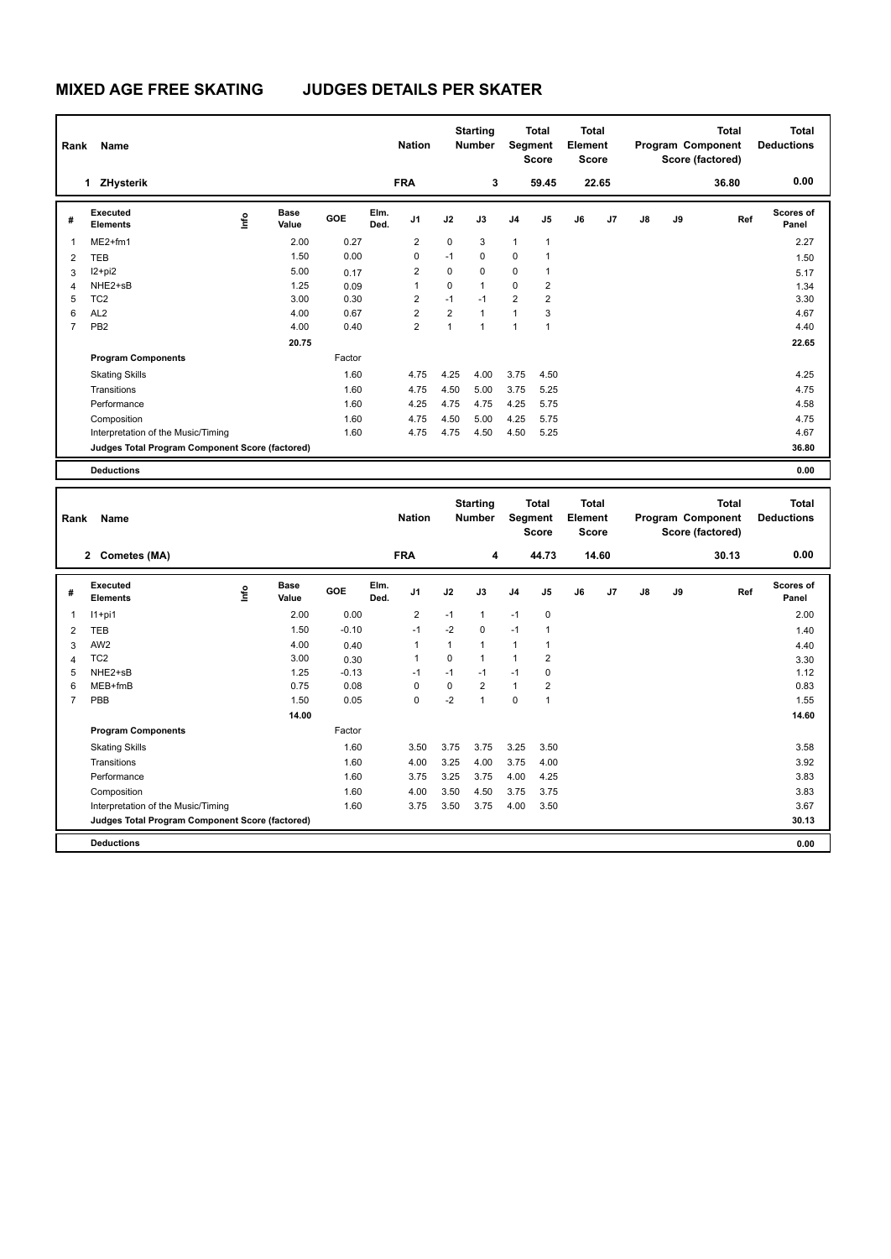## **MIXED AGE FREE SKATING JUDGES DETAILS PER SKATER**

| Name<br>Rank   |                                                 |      |                      |            |              | <b>Starting</b><br><b>Nation</b><br><b>Number</b> |                | <b>Total</b><br>Segment<br><b>Score</b> |                | <b>Total</b><br>Element<br><b>Score</b> |    | <b>Total</b><br>Program Component<br>Score (factored) |               |    | Total<br><b>Deductions</b> |                           |
|----------------|-------------------------------------------------|------|----------------------|------------|--------------|---------------------------------------------------|----------------|-----------------------------------------|----------------|-----------------------------------------|----|-------------------------------------------------------|---------------|----|----------------------------|---------------------------|
|                | ZHysterik<br>1                                  |      |                      |            |              | <b>FRA</b>                                        |                | 3                                       |                | 59.45                                   |    | 22.65                                                 |               |    | 36.80                      | 0.00                      |
| #              | Executed<br><b>Elements</b>                     | lnfo | <b>Base</b><br>Value | <b>GOE</b> | Elm.<br>Ded. | J1                                                | J2             | J3                                      | J <sub>4</sub> | J5                                      | J6 | J <sub>7</sub>                                        | $\mathsf{J}8$ | J9 | Ref                        | <b>Scores of</b><br>Panel |
| 1              | $ME2+fm1$                                       |      | 2.00                 | 0.27       |              | $\overline{2}$                                    | $\mathbf 0$    | 3                                       | $\mathbf{1}$   | $\overline{1}$                          |    |                                                       |               |    |                            | 2.27                      |
| 2              | <b>TEB</b>                                      |      | 1.50                 | 0.00       |              | $\Omega$                                          | $-1$           | $\Omega$                                | 0              | 1                                       |    |                                                       |               |    |                            | 1.50                      |
| 3              | $12+pi2$                                        |      | 5.00                 | 0.17       |              | $\overline{2}$                                    | $\mathbf 0$    | $\mathbf 0$                             | 0              | 1                                       |    |                                                       |               |    |                            | 5.17                      |
| 4              | NHE2+sB                                         |      | 1.25                 | 0.09       |              | $\overline{1}$                                    | 0              | $\mathbf{1}$                            | 0              | 2                                       |    |                                                       |               |    |                            | 1.34                      |
| 5              | TC <sub>2</sub>                                 |      | 3.00                 | 0.30       |              | $\overline{2}$                                    | $-1$           | $-1$                                    | $\overline{2}$ | 2                                       |    |                                                       |               |    |                            | 3.30                      |
| 6              | AL <sub>2</sub>                                 |      | 4.00                 | 0.67       |              | $\overline{2}$                                    | $\overline{2}$ | $\mathbf{1}$                            | $\mathbf{1}$   | 3                                       |    |                                                       |               |    |                            | 4.67                      |
| $\overline{7}$ | PB <sub>2</sub>                                 |      | 4.00                 | 0.40       |              | $\overline{2}$                                    | $\mathbf{1}$   | $\mathbf{1}$                            | $\mathbf{1}$   | 1                                       |    |                                                       |               |    |                            | 4.40                      |
|                |                                                 |      | 20.75                |            |              |                                                   |                |                                         |                |                                         |    |                                                       |               |    |                            | 22.65                     |
|                | <b>Program Components</b>                       |      |                      | Factor     |              |                                                   |                |                                         |                |                                         |    |                                                       |               |    |                            |                           |
|                | <b>Skating Skills</b>                           |      |                      | 1.60       |              | 4.75                                              | 4.25           | 4.00                                    | 3.75           | 4.50                                    |    |                                                       |               |    |                            | 4.25                      |
|                | Transitions                                     |      |                      | 1.60       |              | 4.75                                              | 4.50           | 5.00                                    | 3.75           | 5.25                                    |    |                                                       |               |    |                            | 4.75                      |
|                | Performance                                     |      |                      | 1.60       |              | 4.25                                              | 4.75           | 4.75                                    | 4.25           | 5.75                                    |    |                                                       |               |    |                            | 4.58                      |
|                | Composition                                     |      |                      | 1.60       |              | 4.75                                              | 4.50           | 5.00                                    | 4.25           | 5.75                                    |    |                                                       |               |    |                            | 4.75                      |
|                | Interpretation of the Music/Timing              |      |                      | 1.60       |              | 4.75                                              | 4.75           | 4.50                                    | 4.50           | 5.25                                    |    |                                                       |               |    |                            | 4.67                      |
|                | Judges Total Program Component Score (factored) |      |                      |            |              |                                                   |                |                                         |                |                                         |    |                                                       |               |    |                            | 36.80                     |
|                | <b>Deductions</b>                               |      |                      |            |              |                                                   |                |                                         |                |                                         |    |                                                       |               |    |                            | 0.00                      |

| Rank           | Name                                            |                                  |                      |         |              |                |             | <b>Starting</b><br><b>Number</b> |                | <b>Total</b><br>Segment<br><b>Score</b> |    | <b>Total</b><br>Element<br><b>Score</b> |    |    | <b>Total</b><br>Program Component<br>Score (factored) | <b>Total</b><br><b>Deductions</b> |
|----------------|-------------------------------------------------|----------------------------------|----------------------|---------|--------------|----------------|-------------|----------------------------------|----------------|-----------------------------------------|----|-----------------------------------------|----|----|-------------------------------------------------------|-----------------------------------|
|                | <b>Cometes (MA)</b><br>$\mathbf{2}$             |                                  |                      |         |              | <b>FRA</b>     |             | 4                                |                | 44.73                                   |    | 14.60                                   |    |    | 30.13                                                 | 0.00                              |
| #              | Executed<br><b>Elements</b>                     | $\mathop{\mathsf{Irr}}\nolimits$ | <b>Base</b><br>Value | GOE     | Elm.<br>Ded. | J <sub>1</sub> | J2          | J3                               | J <sub>4</sub> | J <sub>5</sub>                          | J6 | J <sub>7</sub>                          | J8 | J9 | Ref                                                   | <b>Scores of</b><br>Panel         |
| $\mathbf{1}$   | $11+pi1$                                        |                                  | 2.00                 | 0.00    |              | $\overline{2}$ | $-1$        | 1                                | $-1$           | 0                                       |    |                                         |    |    |                                                       | 2.00                              |
| $\overline{2}$ | <b>TEB</b>                                      |                                  | 1.50                 | $-0.10$ |              | $-1$           | $-2$        | $\Omega$                         | $-1$           | 1                                       |    |                                         |    |    |                                                       | 1.40                              |
| 3              | AW <sub>2</sub>                                 |                                  | 4.00                 | 0.40    |              | $\overline{1}$ | 1           | $\mathbf{1}$                     | 1              | 1                                       |    |                                         |    |    |                                                       | 4.40                              |
| $\overline{4}$ | TC <sub>2</sub>                                 |                                  | 3.00                 | 0.30    |              | $\overline{1}$ | $\mathbf 0$ | $\mathbf{1}$                     | 1              | $\overline{\mathbf{c}}$                 |    |                                         |    |    |                                                       | 3.30                              |
| 5              | NHE2+sB                                         |                                  | 1.25                 | $-0.13$ |              | -1             | $-1$        | $-1$                             | $-1$           | 0                                       |    |                                         |    |    |                                                       | 1.12                              |
| 6              | MEB+fmB                                         |                                  | 0.75                 | 0.08    |              | $\Omega$       | $\Omega$    | $\overline{2}$                   | $\mathbf{1}$   | $\overline{2}$                          |    |                                         |    |    |                                                       | 0.83                              |
| $\overline{7}$ | PBB                                             |                                  | 1.50                 | 0.05    |              | $\mathbf 0$    | $-2$        | $\overline{1}$                   | $\mathbf 0$    |                                         |    |                                         |    |    |                                                       | 1.55                              |
|                |                                                 |                                  | 14.00                |         |              |                |             |                                  |                |                                         |    |                                         |    |    |                                                       | 14.60                             |
|                | <b>Program Components</b>                       |                                  |                      | Factor  |              |                |             |                                  |                |                                         |    |                                         |    |    |                                                       |                                   |
|                | <b>Skating Skills</b>                           |                                  |                      | 1.60    |              | 3.50           | 3.75        | 3.75                             | 3.25           | 3.50                                    |    |                                         |    |    |                                                       | 3.58                              |
|                | Transitions                                     |                                  |                      | 1.60    |              | 4.00           | 3.25        | 4.00                             | 3.75           | 4.00                                    |    |                                         |    |    |                                                       | 3.92                              |
|                | Performance                                     |                                  |                      | 1.60    |              | 3.75           | 3.25        | 3.75                             | 4.00           | 4.25                                    |    |                                         |    |    |                                                       | 3.83                              |
|                | Composition                                     |                                  |                      | 1.60    |              | 4.00           | 3.50        | 4.50                             | 3.75           | 3.75                                    |    |                                         |    |    |                                                       | 3.83                              |
|                | Interpretation of the Music/Timing              |                                  |                      | 1.60    |              | 3.75           | 3.50        | 3.75                             | 4.00           | 3.50                                    |    |                                         |    |    |                                                       | 3.67                              |
|                | Judges Total Program Component Score (factored) |                                  |                      |         |              |                |             |                                  |                |                                         |    |                                         |    |    |                                                       | 30.13                             |
|                | <b>Deductions</b>                               |                                  |                      |         |              |                |             |                                  |                |                                         |    |                                         |    |    |                                                       | 0.00                              |